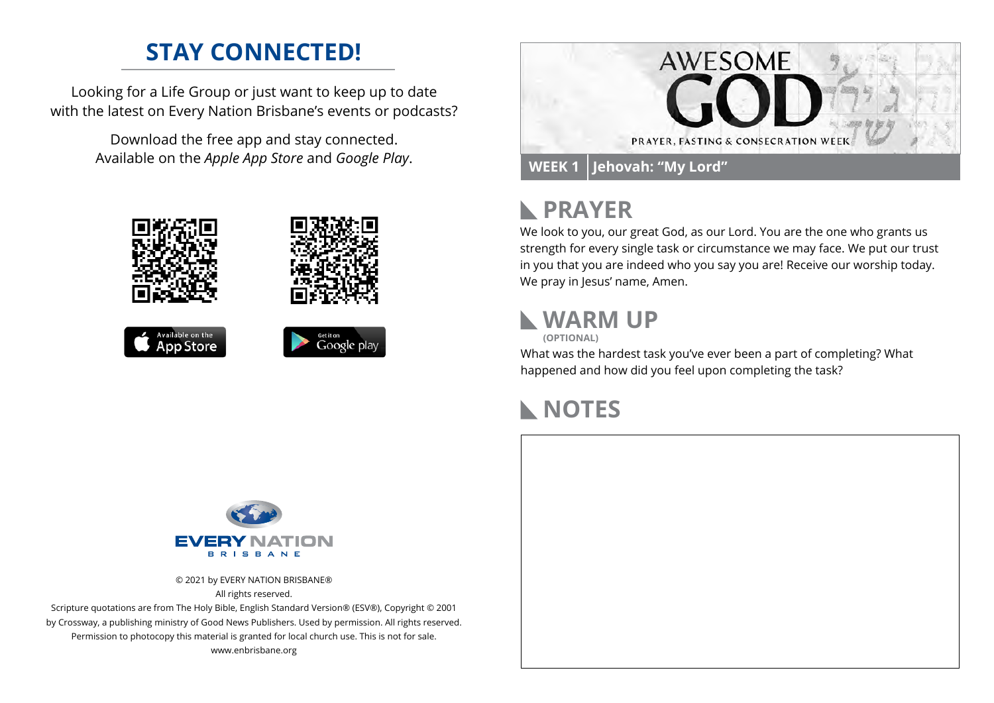### **STAY CONNECTED!**

Looking for a Life Group or just want to keep up to date with the latest on Every Nation Brisbane's events or podcasts?

> Download the free app and stay connected. Available on the *Apple App Store* and *Google Play*.





# **PRAYER**

We look to you, our great God, as our Lord. You are the one who grants us strength for every single task or circumstance we may face. We put our trust in you that you are indeed who you say you are! Receive our worship today. We pray in Jesus' name, Amen.

#### **WARM UP**

**(OPTIONAL)**

What was the hardest task you've ever been a part of completing? What happened and how did you feel upon completing the task?

# **NOTES**



© 2021 by EVERY NATION BRISBANE® All rights reserved.

Scripture quotations are from The Holy Bible, English Standard Version® (ESV®), Copyright © 2001 by Crossway, a publishing ministry of Good News Publishers. Used by permission. All rights reserved. Permission to photocopy this material is granted for local church use. This is not for sale. www.enbrisbane.org